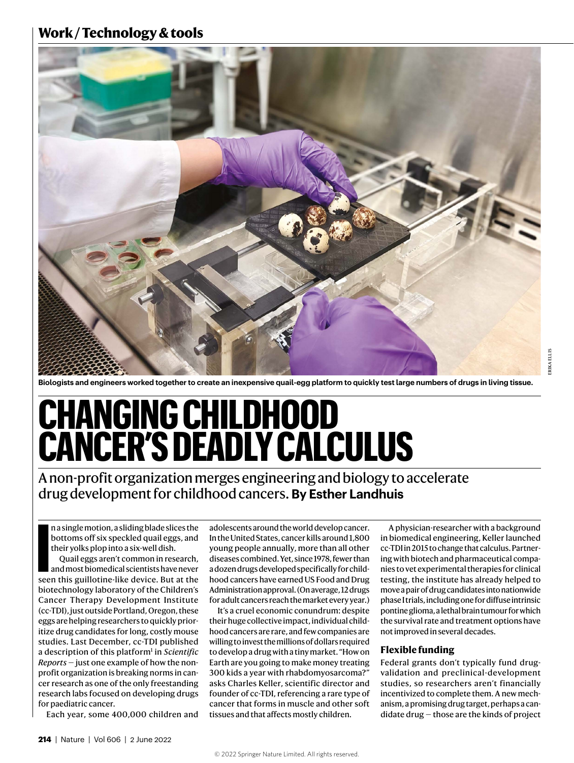# **Work / Technology & tools**



**Biologists and engineers worked together to create an inexpensive quail-egg platform to quickly test large numbers of drugs in living tissue.**

# **CHANGING CHILDHOOD CANCER'S DEADLY CALCULUS**

A non-profit organization merges engineering and biology to accelerate drug development for childhood cancers. **By Esther Landhuis**

n a single motion, a sliding blade slices the bottoms off six speckled quail eggs, and their yolks plop into a six-well dish.

**I** a single motion, a sliding blade slices the bottoms off six speckled quail eggs, and their yolks plop into a six-well dish. Quail eggs aren't common in research, and most biomedical scientists have never seen this guil Quail eggs aren't common in research, and most biomedical scientists have never biotechnology laboratory of the Children's Cancer Therapy Development Institute (cc-TDI), just outside Portland, Oregon, these eggs are helping researchers to quickly prioritize drug candidates for long, costly mouse studies. Last December, cc-TDI published a description of this platform<sup>1</sup> in *Scientific Reports* — just one example of how the nonprofit organization is breaking norms in cancer research as one of the only freestanding research labs focused on developing drugs for paediatric cancer.

Each year, some 400,000 children and

adolescents around the world develop cancer. In the United States, cancer kills around 1,800 young people annually, more than all other diseases combined. Yet, since 1978, fewer than a dozen drugs developed specifically for childhood cancers have earned US Food and Drug Administration approval. (On average, 12 drugs for adult cancers reach the market every year.)

It's a cruel economic conundrum: despite their huge collective impact, individual childhood cancers are rare, and few companies are willing to invest the millions of dollars required to develop a drug with a tiny market. "How on Earth are you going to make money treating 300 kids a year with rhabdomyosarcoma?" asks Charles Keller, scientific director and founder of cc-TDI, referencing a rare type of cancer that forms in muscle and other soft tissues and that affects mostly children.

A physician-researcher with a background in biomedical engineering, Keller launched cc-TDI in 2015 to change that calculus. Partnering with biotech and pharmaceutical companies to vet experimental therapies for clinical testing, the institute has already helped to move a pair of drug candidates into nationwide phase I trials, including one for diffuse intrinsic pontine glioma, a lethal brain tumour for which the survival rate and treatment options have not improved in several decades.

## **Flexible funding**

Federal grants don't typically fund drugvalidation and preclinical-development studies, so researchers aren't financially incentivized to complete them. A new mechanism, a promising drug target, perhaps a candidate drug — those are the kinds of project